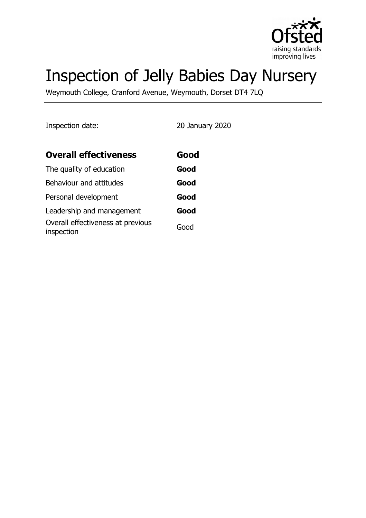

# Inspection of Jelly Babies Day Nursery

Weymouth College, Cranford Avenue, Weymouth, Dorset DT4 7LQ

Inspection date: 20 January 2020

| <b>Overall effectiveness</b>                    | Good |
|-------------------------------------------------|------|
| The quality of education                        | Good |
| Behaviour and attitudes                         | Good |
| Personal development                            | Good |
| Leadership and management                       | Good |
| Overall effectiveness at previous<br>inspection | Good |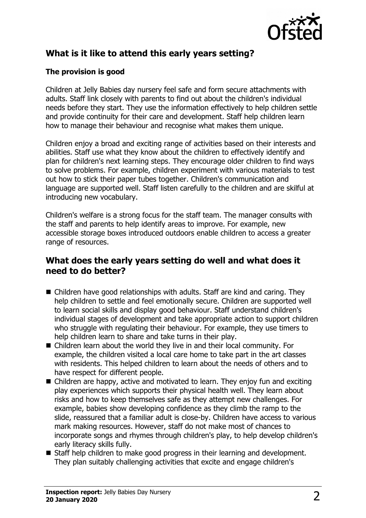

# **What is it like to attend this early years setting?**

## **The provision is good**

Children at Jelly Babies day nursery feel safe and form secure attachments with adults. Staff link closely with parents to find out about the children's individual needs before they start. They use the information effectively to help children settle and provide continuity for their care and development. Staff help children learn how to manage their behaviour and recognise what makes them unique.

Children enjoy a broad and exciting range of activities based on their interests and abilities. Staff use what they know about the children to effectively identify and plan for children's next learning steps. They encourage older children to find ways to solve problems. For example, children experiment with various materials to test out how to stick their paper tubes together. Children's communication and language are supported well. Staff listen carefully to the children and are skilful at introducing new vocabulary.

Children's welfare is a strong focus for the staff team. The manager consults with the staff and parents to help identify areas to improve. For example, new accessible storage boxes introduced outdoors enable children to access a greater range of resources.

## **What does the early years setting do well and what does it need to do better?**

- $\blacksquare$  Children have good relationships with adults. Staff are kind and caring. They help children to settle and feel emotionally secure. Children are supported well to learn social skills and display good behaviour. Staff understand children's individual stages of development and take appropriate action to support children who struggle with regulating their behaviour. For example, they use timers to help children learn to share and take turns in their play.
- $\blacksquare$  Children learn about the world they live in and their local community. For example, the children visited a local care home to take part in the art classes with residents. This helped children to learn about the needs of others and to have respect for different people.
- $\blacksquare$  Children are happy, active and motivated to learn. They enjoy fun and exciting play experiences which supports their physical health well. They learn about risks and how to keep themselves safe as they attempt new challenges. For example, babies show developing confidence as they climb the ramp to the slide, reassured that a familiar adult is close-by. Children have access to various mark making resources. However, staff do not make most of chances to incorporate songs and rhymes through children's play, to help develop children's early literacy skills fully.
- Staff help children to make good progress in their learning and development. They plan suitably challenging activities that excite and engage children's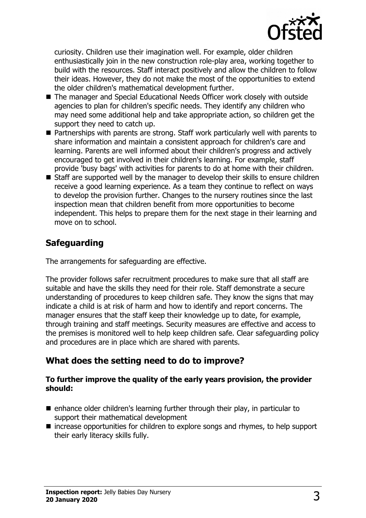

curiosity. Children use their imagination well. For example, older children enthusiastically join in the new construction role-play area, working together to build with the resources. Staff interact positively and allow the children to follow their ideas. However, they do not make the most of the opportunities to extend the older children's mathematical development further.

- The manager and Special Educational Needs Officer work closely with outside agencies to plan for children's specific needs. They identify any children who may need some additional help and take appropriate action, so children get the support they need to catch up.
- Partnerships with parents are strong. Staff work particularly well with parents to share information and maintain a consistent approach for children's care and learning. Parents are well informed about their children's progress and actively encouraged to get involved in their children's learning. For example, staff provide 'busy bags' with activities for parents to do at home with their children.
- $\blacksquare$  Staff are supported well by the manager to develop their skills to ensure children receive a good learning experience. As a team they continue to reflect on ways to develop the provision further. Changes to the nursery routines since the last inspection mean that children benefit from more opportunities to become independent. This helps to prepare them for the next stage in their learning and move on to school.

## **Safeguarding**

The arrangements for safeguarding are effective.

The provider follows safer recruitment procedures to make sure that all staff are suitable and have the skills they need for their role. Staff demonstrate a secure understanding of procedures to keep children safe. They know the signs that may indicate a child is at risk of harm and how to identify and report concerns. The manager ensures that the staff keep their knowledge up to date, for example, through training and staff meetings. Security measures are effective and access to the premises is monitored well to help keep children safe. Clear safeguarding policy and procedures are in place which are shared with parents.

# **What does the setting need to do to improve?**

#### **To further improve the quality of the early years provision, the provider should:**

- $\blacksquare$  enhance older children's learning further through their play, in particular to support their mathematical development
- $\blacksquare$  increase opportunities for children to explore songs and rhymes, to help support their early literacy skills fully.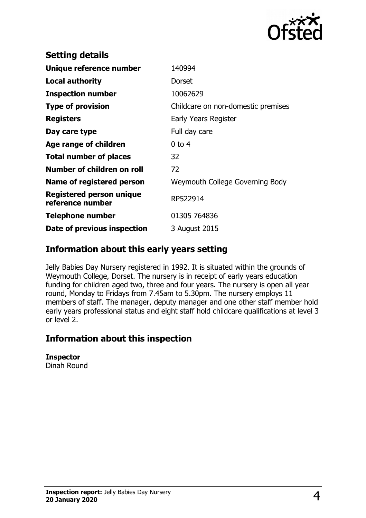

| <b>Setting details</b>                       |                                    |
|----------------------------------------------|------------------------------------|
| Unique reference number                      | 140994                             |
| <b>Local authority</b>                       | Dorset                             |
| <b>Inspection number</b>                     | 10062629                           |
| <b>Type of provision</b>                     | Childcare on non-domestic premises |
| <b>Registers</b>                             | Early Years Register               |
| Day care type                                | Full day care                      |
| Age range of children                        | $0$ to 4                           |
| <b>Total number of places</b>                | 32                                 |
| Number of children on roll                   | 72                                 |
| Name of registered person                    | Weymouth College Governing Body    |
| Registered person unique<br>reference number | RP522914                           |
| <b>Telephone number</b>                      | 01305 764836                       |
| Date of previous inspection                  | 3 August 2015                      |

## **Information about this early years setting**

Jelly Babies Day Nursery registered in 1992. It is situated within the grounds of Weymouth College, Dorset. The nursery is in receipt of early years education funding for children aged two, three and four years. The nursery is open all year round, Monday to Fridays from 7.45am to 5.30pm. The nursery employs 11 members of staff. The manager, deputy manager and one other staff member hold early years professional status and eight staff hold childcare qualifications at level 3 or level 2.

## **Information about this inspection**

#### **Inspector**

Dinah Round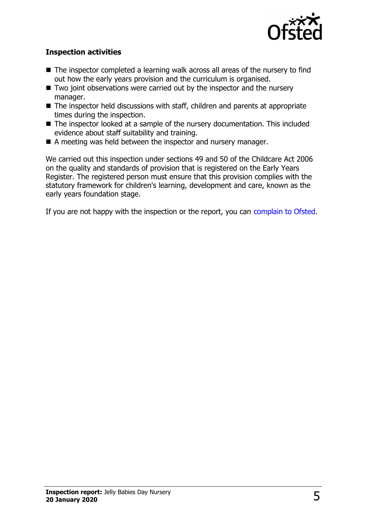

### **Inspection activities**

- $\blacksquare$  The inspector completed a learning walk across all areas of the nursery to find out how the early years provision and the curriculum is organised.
- $\blacksquare$  Two joint observations were carried out by the inspector and the nursery manager.
- $\blacksquare$  The inspector held discussions with staff, children and parents at appropriate times during the inspection.
- The inspector looked at a sample of the nursery documentation. This included evidence about staff suitability and training.
- $\blacksquare$  A meeting was held between the inspector and nursery manager.

We carried out this inspection under sections 49 and 50 of the Childcare Act 2006 on the quality and standards of provision that is registered on the Early Years Register. The registered person must ensure that this provision complies with the statutory framework for children's learning, development and care, known as the early years foundation stage.

If you are not happy with the inspection or the report, you can [complain to Ofsted.](http://www.gov.uk/complain-ofsted-report)